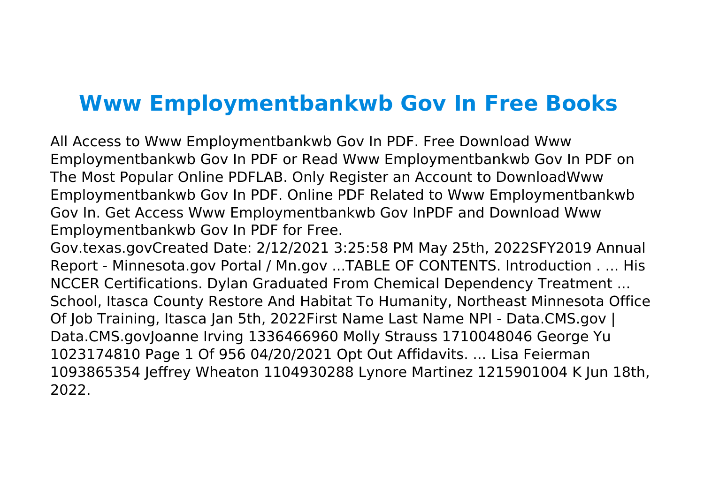## **Www Employmentbankwb Gov In Free Books**

All Access to Www Employmentbankwb Gov In PDF. Free Download Www Employmentbankwb Gov In PDF or Read Www Employmentbankwb Gov In PDF on The Most Popular Online PDFLAB. Only Register an Account to DownloadWww Employmentbankwb Gov In PDF. Online PDF Related to Www Employmentbankwb Gov In. Get Access Www Employmentbankwb Gov InPDF and Download Www Employmentbankwb Gov In PDF for Free.

Gov.texas.govCreated Date: 2/12/2021 3:25:58 PM May 25th, 2022SFY2019 Annual Report - Minnesota.gov Portal / Mn.gov ...TABLE OF CONTENTS. Introduction . ... His NCCER Certifications. Dylan Graduated From Chemical Dependency Treatment ... School, Itasca County Restore And Habitat To Humanity, Northeast Minnesota Office Of Job Training, Itasca Jan 5th, 2022First Name Last Name NPI - Data.CMS.gov | Data.CMS.govJoanne Irving 1336466960 Molly Strauss 1710048046 George Yu 1023174810 Page 1 Of 956 04/20/2021 Opt Out Affidavits. ... Lisa Feierman 1093865354 Jeffrey Wheaton 1104930288 Lynore Martinez 1215901004 K Jun 18th, 2022.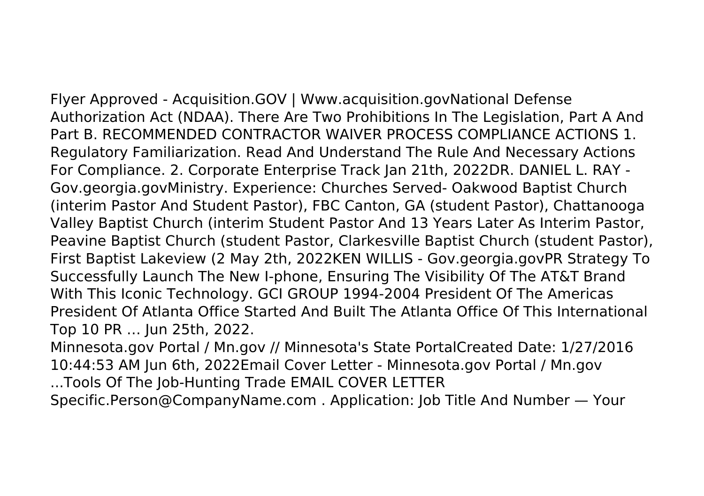Flyer Approved - Acquisition.GOV | Www.acquisition.govNational Defense Authorization Act (NDAA). There Are Two Prohibitions In The Legislation, Part A And Part B. RECOMMENDED CONTRACTOR WAIVER PROCESS COMPLIANCE ACTIONS 1. Regulatory Familiarization. Read And Understand The Rule And Necessary Actions For Compliance. 2. Corporate Enterprise Track Jan 21th, 2022DR. DANIEL L. RAY - Gov.georgia.govMinistry. Experience: Churches Served- Oakwood Baptist Church (interim Pastor And Student Pastor), FBC Canton, GA (student Pastor), Chattanooga Valley Baptist Church (interim Student Pastor And 13 Years Later As Interim Pastor, Peavine Baptist Church (student Pastor, Clarkesville Baptist Church (student Pastor), First Baptist Lakeview (2 May 2th, 2022KEN WILLIS - Gov.georgia.govPR Strategy To Successfully Launch The New I-phone, Ensuring The Visibility Of The AT&T Brand With This Iconic Technology. GCI GROUP 1994-2004 President Of The Americas

President Of Atlanta Office Started And Built The Atlanta Office Of This International Top 10 PR … Jun 25th, 2022.

Minnesota.gov Portal / Mn.gov // Minnesota's State PortalCreated Date: 1/27/2016 10:44:53 AM Jun 6th, 2022Email Cover Letter - Minnesota.gov Portal / Mn.gov

...Tools Of The Job-Hunting Trade EMAIL COVER LETTER

Specific.Person@CompanyName.com . Application: Job Title And Number — Your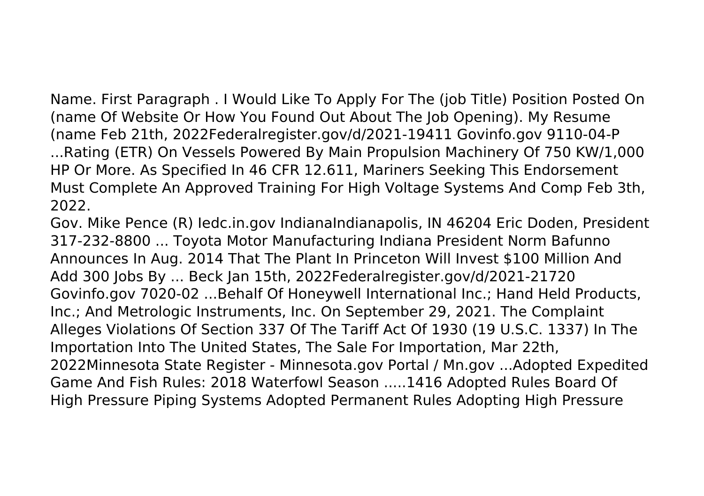Name. First Paragraph . I Would Like To Apply For The (job Title) Position Posted On (name Of Website Or How You Found Out About The Job Opening). My Resume (name Feb 21th, 2022Federalregister.gov/d/2021-19411 Govinfo.gov 9110-04-P

...Rating (ETR) On Vessels Powered By Main Propulsion Machinery Of 750 KW/1,000 HP Or More. As Specified In 46 CFR 12.611, Mariners Seeking This Endorsement Must Complete An Approved Training For High Voltage Systems And Comp Feb 3th, 2022.

Gov. Mike Pence (R) Iedc.in.gov IndianaIndianapolis, IN 46204 Eric Doden, President 317-232-8800 ... Toyota Motor Manufacturing Indiana President Norm Bafunno Announces In Aug. 2014 That The Plant In Princeton Will Invest \$100 Million And Add 300 Jobs By ... Beck Jan 15th, 2022Federalregister.gov/d/2021-21720 Govinfo.gov 7020-02 ...Behalf Of Honeywell International Inc.; Hand Held Products, Inc.; And Metrologic Instruments, Inc. On September 29, 2021. The Complaint Alleges Violations Of Section 337 Of The Tariff Act Of 1930 (19 U.S.C. 1337) In The Importation Into The United States, The Sale For Importation, Mar 22th, 2022Minnesota State Register - Minnesota.gov Portal / Mn.gov ...Adopted Expedited Game And Fish Rules: 2018 Waterfowl Season .....1416 Adopted Rules Board Of High Pressure Piping Systems Adopted Permanent Rules Adopting High Pressure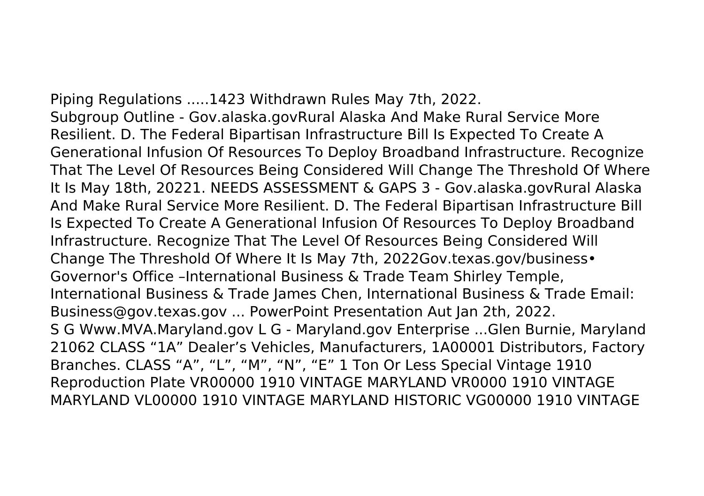Piping Regulations .....1423 Withdrawn Rules May 7th, 2022. Subgroup Outline - Gov.alaska.govRural Alaska And Make Rural Service More Resilient. D. The Federal Bipartisan Infrastructure Bill Is Expected To Create A Generational Infusion Of Resources To Deploy Broadband Infrastructure. Recognize That The Level Of Resources Being Considered Will Change The Threshold Of Where It Is May 18th, 20221. NEEDS ASSESSMENT & GAPS 3 - Gov.alaska.govRural Alaska And Make Rural Service More Resilient. D. The Federal Bipartisan Infrastructure Bill Is Expected To Create A Generational Infusion Of Resources To Deploy Broadband Infrastructure. Recognize That The Level Of Resources Being Considered Will Change The Threshold Of Where It Is May 7th, 2022Gov.texas.gov/business• Governor's Office –International Business & Trade Team Shirley Temple, International Business & Trade James Chen, International Business & Trade Email: Business@gov.texas.gov ... PowerPoint Presentation Aut Jan 2th, 2022. S G Www.MVA.Maryland.gov L G - Maryland.gov Enterprise ...Glen Burnie, Maryland 21062 CLASS "1A" Dealer's Vehicles, Manufacturers, 1A00001 Distributors, Factory Branches. CLASS "A", "L", "M", "N", "E" 1 Ton Or Less Special Vintage 1910 Reproduction Plate VR00000 1910 VINTAGE MARYLAND VR0000 1910 VINTAGE MARYLAND VL00000 1910 VINTAGE MARYLAND HISTORIC VG00000 1910 VINTAGE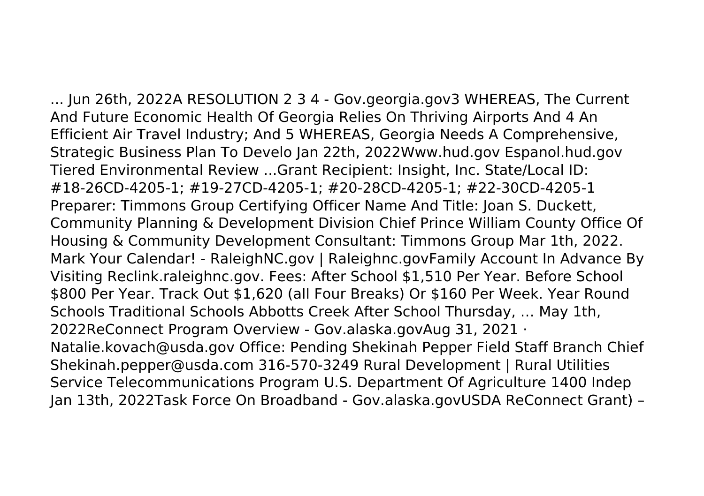... Jun 26th, 2022A RESOLUTION 2 3 4 - Gov.georgia.gov3 WHEREAS, The Current And Future Economic Health Of Georgia Relies On Thriving Airports And 4 An Efficient Air Travel Industry; And 5 WHEREAS, Georgia Needs A Comprehensive, Strategic Business Plan To Develo Jan 22th, 2022Www.hud.gov Espanol.hud.gov Tiered Environmental Review ...Grant Recipient: Insight, Inc. State/Local ID: #18-26CD-4205-1; #19-27CD-4205-1; #20-28CD-4205-1; #22-30CD-4205-1 Preparer: Timmons Group Certifying Officer Name And Title: Joan S. Duckett, Community Planning & Development Division Chief Prince William County Office Of Housing & Community Development Consultant: Timmons Group Mar 1th, 2022. Mark Your Calendar! - RaleighNC.gov | Raleighnc.govFamily Account In Advance By Visiting Reclink.raleighnc.gov. Fees: After School \$1,510 Per Year. Before School \$800 Per Year. Track Out \$1,620 (all Four Breaks) Or \$160 Per Week. Year Round Schools Traditional Schools Abbotts Creek After School Thursday, … May 1th, 2022ReConnect Program Overview - Gov.alaska.govAug 31, 2021 · Natalie.kovach@usda.gov Office: Pending Shekinah Pepper Field Staff Branch Chief Shekinah.pepper@usda.com 316-570-3249 Rural Development | Rural Utilities Service Telecommunications Program U.S. Department Of Agriculture 1400 Indep Jan 13th, 2022Task Force On Broadband - Gov.alaska.govUSDA ReConnect Grant) –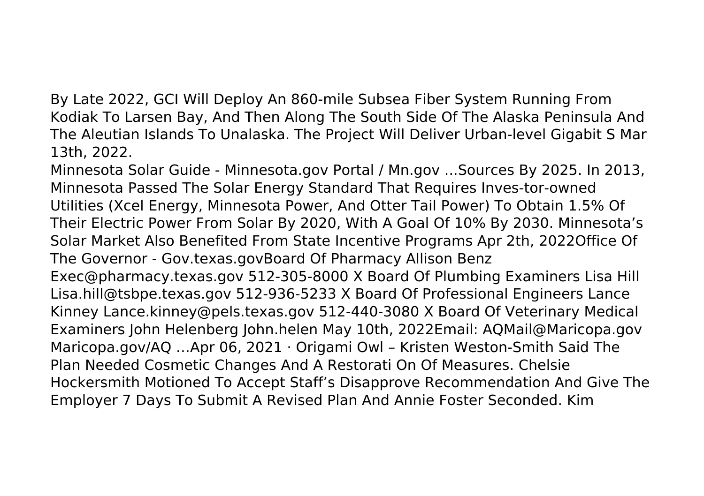By Late 2022, GCI Will Deploy An 860-mile Subsea Fiber System Running From Kodiak To Larsen Bay, And Then Along The South Side Of The Alaska Peninsula And The Aleutian Islands To Unalaska. The Project Will Deliver Urban-level Gigabit S Mar 13th, 2022.

Minnesota Solar Guide - Minnesota.gov Portal / Mn.gov ...Sources By 2025. In 2013, Minnesota Passed The Solar Energy Standard That Requires Inves-tor-owned Utilities (Xcel Energy, Minnesota Power, And Otter Tail Power) To Obtain 1.5% Of Their Electric Power From Solar By 2020, With A Goal Of 10% By 2030. Minnesota's Solar Market Also Benefited From State Incentive Programs Apr 2th, 2022Office Of The Governor - Gov.texas.govBoard Of Pharmacy Allison Benz Exec@pharmacy.texas.gov 512-305-8000 X Board Of Plumbing Examiners Lisa Hill Lisa.hill@tsbpe.texas.gov 512-936-5233 X Board Of Professional Engineers Lance Kinney Lance.kinney@pels.texas.gov 512-440-3080 X Board Of Veterinary Medical Examiners John Helenberg John.helen May 10th, 2022Email: AQMail@Maricopa.gov Maricopa.gov/AQ …Apr 06, 2021 · Origami Owl – Kristen Weston-Smith Said The Plan Needed Cosmetic Changes And A Restorati On Of Measures. Chelsie Hockersmith Motioned To Accept Staff's Disapprove Recommendation And Give The Employer 7 Days To Submit A Revised Plan And Annie Foster Seconded. Kim